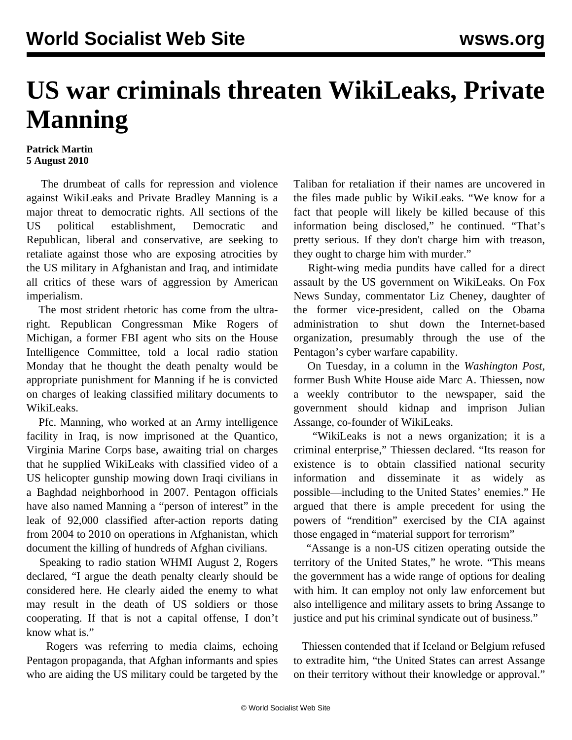## **US war criminals threaten WikiLeaks, Private Manning**

## **Patrick Martin 5 August 2010**

 The drumbeat of calls for repression and violence against WikiLeaks and Private Bradley Manning is a major threat to democratic rights. All sections of the US political establishment, Democratic and Republican, liberal and conservative, are seeking to retaliate against those who are exposing atrocities by the US military in Afghanistan and Iraq, and intimidate all critics of these wars of aggression by American imperialism.

 The most strident rhetoric has come from the ultraright. Republican Congressman Mike Rogers of Michigan, a former FBI agent who sits on the House Intelligence Committee, told a local radio station Monday that he thought the death penalty would be appropriate punishment for Manning if he is convicted on charges of leaking classified military documents to WikiLeaks.

 Pfc. Manning, who worked at an Army intelligence facility in Iraq, is now imprisoned at the Quantico, Virginia Marine Corps base, awaiting trial on charges that he supplied WikiLeaks with classified video of a US helicopter gunship mowing down Iraqi civilians in a Baghdad neighborhood in 2007. Pentagon officials have also named Manning a "person of interest" in the leak of 92,000 classified after-action reports dating from 2004 to 2010 on operations in Afghanistan, which document the killing of hundreds of Afghan civilians.

 Speaking to radio station WHMI August 2, Rogers declared, "I argue the death penalty clearly should be considered here. He clearly aided the enemy to what may result in the death of US soldiers or those cooperating. If that is not a capital offense, I don't know what is."

 Rogers was referring to media claims, echoing Pentagon propaganda, that Afghan informants and spies who are aiding the US military could be targeted by the Taliban for retaliation if their names are uncovered in the files made public by WikiLeaks. "We know for a fact that people will likely be killed because of this information being disclosed," he continued. "That's pretty serious. If they don't charge him with treason, they ought to charge him with murder."

 Right-wing media pundits have called for a direct assault by the US government on WikiLeaks. On Fox News Sunday, commentator Liz Cheney, daughter of the former vice-president, called on the Obama administration to shut down the Internet-based organization, presumably through the use of the Pentagon's cyber warfare capability.

 On Tuesday, in a column in the *Washington Post*, former Bush White House aide Marc A. Thiessen, now a weekly contributor to the newspaper, said the government should kidnap and imprison Julian Assange, co-founder of WikiLeaks.

 "WikiLeaks is not a news organization; it is a criminal enterprise," Thiessen declared. "Its reason for existence is to obtain classified national security information and disseminate it as widely as possible—including to the United States' enemies." He argued that there is ample precedent for using the powers of "rendition" exercised by the CIA against those engaged in "material support for terrorism"

 "Assange is a non-US citizen operating outside the territory of the United States," he wrote. "This means the government has a wide range of options for dealing with him. It can employ not only law enforcement but also intelligence and military assets to bring Assange to justice and put his criminal syndicate out of business."

 Thiessen contended that if Iceland or Belgium refused to extradite him, "the United States can arrest Assange on their territory without their knowledge or approval."